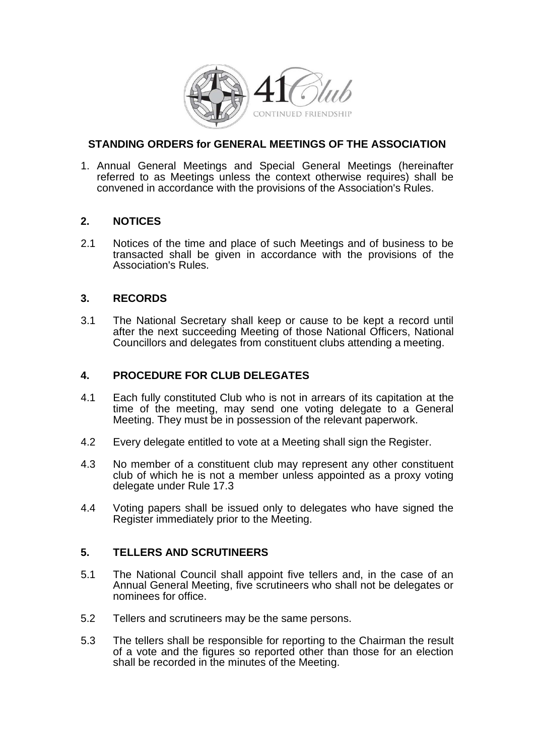

# **STANDING ORDERS for GENERAL MEETINGS OF THE ASSOCIATION**

1. Annual General Meetings and Special General Meetings (hereinafter referred to as Meetings unless the context otherwise requires) shall be convened in accordance with the provisions of the Association's Rules.

# **2. NOTICES**

2.1 Notices of the time and place of such Meetings and of business to be transacted shall be given in accordance with the provisions of the Association's Rules.

# **3. RECORDS**

3.1 The National Secretary shall keep or cause to be kept a record until after the next succeeding Meeting of those National Officers, National Councillors and delegates from constituent clubs attending a meeting.

# **4. PROCEDURE FOR CLUB DELEGATES**

- 4.1 Each fully constituted Club who is not in arrears of its capitation at the time of the meeting, may send one voting delegate to a General Meeting. They must be in possession of the relevant paperwork.
- 4.2 Every delegate entitled to vote at a Meeting shall sign the Register.
- 4.3 No member of a constituent club may represent any other constituent club of which he is not a member unless appointed as a proxy voting delegate under Rule 17.3
- 4.4 Voting papers shall be issued only to delegates who have signed the Register immediately prior to the Meeting.

# **5. TELLERS AND SCRUTINEERS**

- 5.1 The National Council shall appoint five tellers and, in the case of an Annual General Meeting, five scrutineers who shall not be delegates or nominees for office.
- 5.2 Tellers and scrutineers may be the same persons.
- 5.3 The tellers shall be responsible for reporting to the Chairman the result of a vote and the figures so reported other than those for an election shall be recorded in the minutes of the Meeting.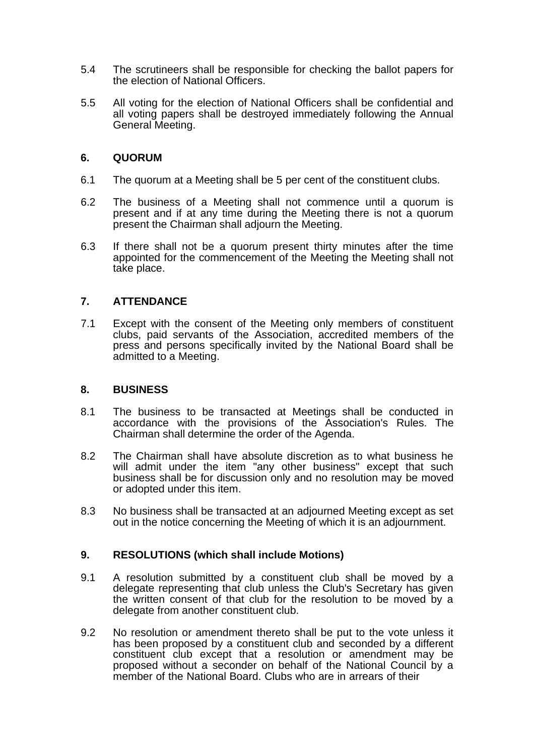- 5.4 The scrutineers shall be responsible for checking the ballot papers for the election of National Officers.
- 5.5 All voting for the election of National Officers shall be confidential and all voting papers shall be destroyed immediately following the Annual General Meeting.

### **6. QUORUM**

- 6.1 The quorum at a Meeting shall be 5 per cent of the constituent clubs.
- 6.2 The business of a Meeting shall not commence until a quorum is present and if at any time during the Meeting there is not a quorum present the Chairman shall adjourn the Meeting.
- 6.3 If there shall not be a quorum present thirty minutes after the time appointed for the commencement of the Meeting the Meeting shall not take place.

# **7. ATTENDANCE**

7.1 Except with the consent of the Meeting only members of constituent clubs, paid servants of the Association, accredited members of the press and persons specifically invited by the National Board shall be admitted to a Meeting.

#### **8. BUSINESS**

- 8.1 The business to be transacted at Meetings shall be conducted in accordance with the provisions of the Association's Rules. The Chairman shall determine the order of the Agenda.
- 8.2 The Chairman shall have absolute discretion as to what business he will admit under the item "any other business" except that such business shall be for discussion only and no resolution may be moved or adopted under this item.
- 8.3 No business shall be transacted at an adjourned Meeting except as set out in the notice concerning the Meeting of which it is an adjournment.

#### **9. RESOLUTIONS (which shall include Motions)**

- 9.1 A resolution submitted by a constituent club shall be moved by a delegate representing that club unless the Club's Secretary has given the written consent of that club for the resolution to be moved by a delegate from another constituent club.
- 9.2 No resolution or amendment thereto shall be put to the vote unless it has been proposed by a constituent club and seconded by a different constituent club except that a resolution or amendment may be proposed without a seconder on behalf of the National Council by a member of the National Board. Clubs who are in arrears of their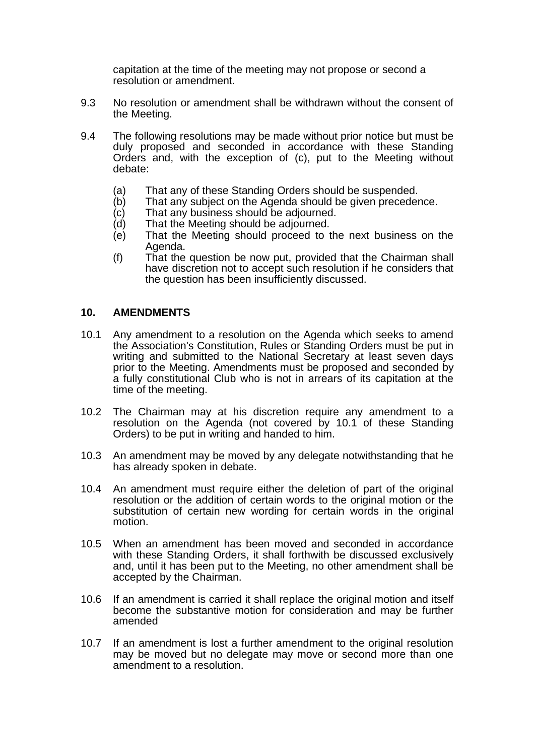capitation at the time of the meeting may not propose or second a resolution or amendment.

- 9.3 No resolution or amendment shall be withdrawn without the consent of the Meeting.
- 9.4 The following resolutions may be made without prior notice but must be duly proposed and seconded in accordance with these Standing Orders and, with the exception of (c), put to the Meeting without debate:
	- (a) That any of these Standing Orders should be suspended.<br>(b) That any subject on the Agenda should be given preceder
	- (b) That any subject on the Agenda should be given precedence.<br>(c) That any business should be adjourned.
	- $(c)$  That any business should be adjourned.<br>(d) That the Meeting should be adjourned.
	- That the Meeting should be adjourned.
	- (e) That the Meeting should proceed to the next business on the Agenda.
	- (f) That the question be now put, provided that the Chairman shall have discretion not to accept such resolution if he considers that the question has been insufficiently discussed.

#### **10. AMENDMENTS**

- 10.1 Any amendment to a resolution on the Agenda which seeks to amend the Association's Constitution, Rules or Standing Orders must be put in writing and submitted to the National Secretary at least seven days prior to the Meeting. Amendments must be proposed and seconded by a fully constitutional Club who is not in arrears of its capitation at the time of the meeting.
- 10.2 The Chairman may at his discretion require any amendment to a resolution on the Agenda (not covered by 10.1 of these Standing Orders) to be put in writing and handed to him.
- 10.3 An amendment may be moved by any delegate notwithstanding that he has already spoken in debate.
- 10.4 An amendment must require either the deletion of part of the original resolution or the addition of certain words to the original motion or the substitution of certain new wording for certain words in the original motion.
- 10.5 When an amendment has been moved and seconded in accordance with these Standing Orders, it shall forthwith be discussed exclusively and, until it has been put to the Meeting, no other amendment shall be accepted by the Chairman.
- 10.6 If an amendment is carried it shall replace the original motion and itself become the substantive motion for consideration and may be further amended
- 10.7 If an amendment is lost a further amendment to the original resolution may be moved but no delegate may move or second more than one amendment to a resolution.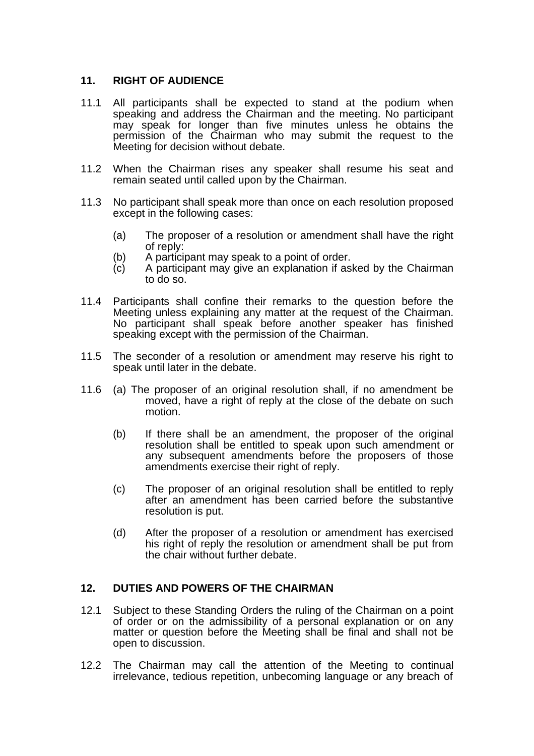# **11. RIGHT OF AUDIENCE**

- 11.1 All participants shall be expected to stand at the podium when speaking and address the Chairman and the meeting. No participant may speak for longer than five minutes unless he obtains the permission of the Chairman who may submit the request to the Meeting for decision without debate.
- 11.2 When the Chairman rises any speaker shall resume his seat and remain seated until called upon by the Chairman.
- 11.3 No participant shall speak more than once on each resolution proposed except in the following cases:
	- (a) The proposer of a resolution or amendment shall have the right of reply:
	- (b) A participant may speak to a point of order.
	- (c) A participant may give an explanation if asked by the Chairman to do so.
- 11.4 Participants shall confine their remarks to the question before the Meeting unless explaining any matter at the request of the Chairman. No participant shall speak before another speaker has finished speaking except with the permission of the Chairman.
- 11.5 The seconder of a resolution or amendment may reserve his right to speak until later in the debate.
- 11.6 (a) The proposer of an original resolution shall, if no amendment be moved, have a right of reply at the close of the debate on such motion.
	- (b) If there shall be an amendment, the proposer of the original resolution shall be entitled to speak upon such amendment or any subsequent amendments before the proposers of those amendments exercise their right of reply.
	- (c) The proposer of an original resolution shall be entitled to reply after an amendment has been carried before the substantive resolution is put.
	- (d) After the proposer of a resolution or amendment has exercised his right of reply the resolution or amendment shall be put from the chair without further debate.

# **12. DUTIES AND POWERS OF THE CHAIRMAN**

- 12.1 Subject to these Standing Orders the ruling of the Chairman on a point of order or on the admissibility of a personal explanation or on any matter or question before the Meeting shall be final and shall not be open to discussion.
- 12.2 The Chairman may call the attention of the Meeting to continual irrelevance, tedious repetition, unbecoming language or any breach of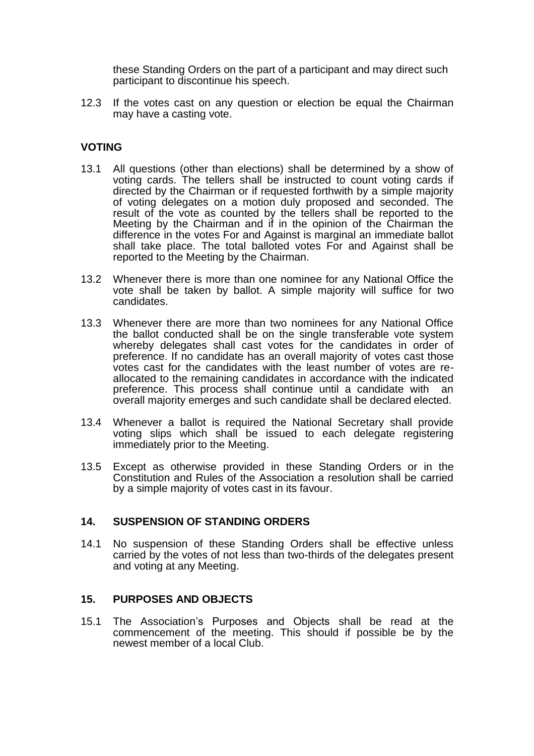these Standing Orders on the part of a participant and may direct such participant to discontinue his speech.

12.3 If the votes cast on any question or election be equal the Chairman may have a casting vote.

### **VOTING**

- 13.1 All questions (other than elections) shall be determined by a show of voting cards. The tellers shall be instructed to count voting cards if directed by the Chairman or if requested forthwith by a simple majority of voting delegates on a motion duly proposed and seconded. The result of the vote as counted by the tellers shall be reported to the Meeting by the Chairman and if in the opinion of the Chairman the difference in the votes For and Against is marginal an immediate ballot shall take place. The total balloted votes For and Against shall be reported to the Meeting by the Chairman.
- 13.2 Whenever there is more than one nominee for any National Office the vote shall be taken by ballot. A simple majority will suffice for two candidates.
- 13.3 Whenever there are more than two nominees for any National Office the ballot conducted shall be on the single transferable vote system whereby delegates shall cast votes for the candidates in order of preference. If no candidate has an overall majority of votes cast those votes cast for the candidates with the least number of votes are reallocated to the remaining candidates in accordance with the indicated preference. This process shall continue until a candidate with an overall majority emerges and such candidate shall be declared elected.
- 13.4 Whenever a ballot is required the National Secretary shall provide voting slips which shall be issued to each delegate registering immediately prior to the Meeting.
- 13.5 Except as otherwise provided in these Standing Orders or in the Constitution and Rules of the Association a resolution shall be carried by a simple majority of votes cast in its favour.

#### **14. SUSPENSION OF STANDING ORDERS**

14.1 No suspension of these Standing Orders shall be effective unless carried by the votes of not less than two-thirds of the delegates present and voting at any Meeting.

# **15. PURPOSES AND OBJECTS**

15.1 The Association's Purposes and Objects shall be read at the commencement of the meeting. This should if possible be by the newest member of a local Club.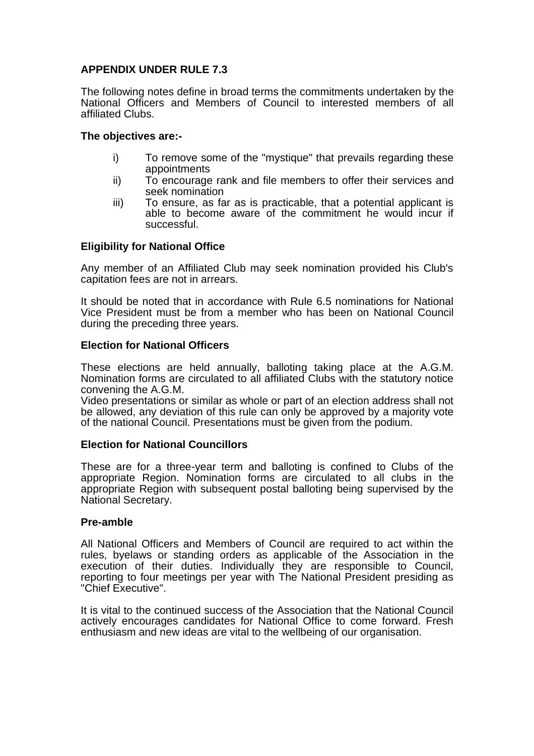# **APPENDIX UNDER RULE 7.3**

The following notes define in broad terms the commitments undertaken by the National Officers and Members of Council to interested members of all affiliated Clubs.

### **The objectives are:-**

- i) To remove some of the "mystique" that prevails regarding these appointments
- ii) To encourage rank and file members to offer their services and seek nomination
- iii) To ensure, as far as is practicable, that a potential applicant is able to become aware of the commitment he would incur if successful.

# **Eligibility for National Office**

Any member of an Affiliated Club may seek nomination provided his Club's capitation fees are not in arrears.

It should be noted that in accordance with Rule 6.5 nominations for National Vice President must be from a member who has been on National Council during the preceding three years.

### **Election for National Officers**

These elections are held annually, balloting taking place at the A.G.M. Nomination forms are circulated to all affiliated Clubs with the statutory notice convening the A.G.M.

Video presentations or similar as whole or part of an election address shall not be allowed, any deviation of this rule can only be approved by a majority vote of the national Council. Presentations must be given from the podium.

#### **Election for National Councillors**

These are for a three-year term and balloting is confined to Clubs of the appropriate Region. Nomination forms are circulated to all clubs in the appropriate Region with subsequent postal balloting being supervised by the National Secretary.

#### **Pre-amble**

All National Officers and Members of Council are required to act within the rules, byelaws or standing orders as applicable of the Association in the execution of their duties. Individually they are responsible to Council, reporting to four meetings per year with The National President presiding as "Chief Executive".

It is vital to the continued success of the Association that the National Council actively encourages candidates for National Office to come forward. Fresh enthusiasm and new ideas are vital to the wellbeing of our organisation.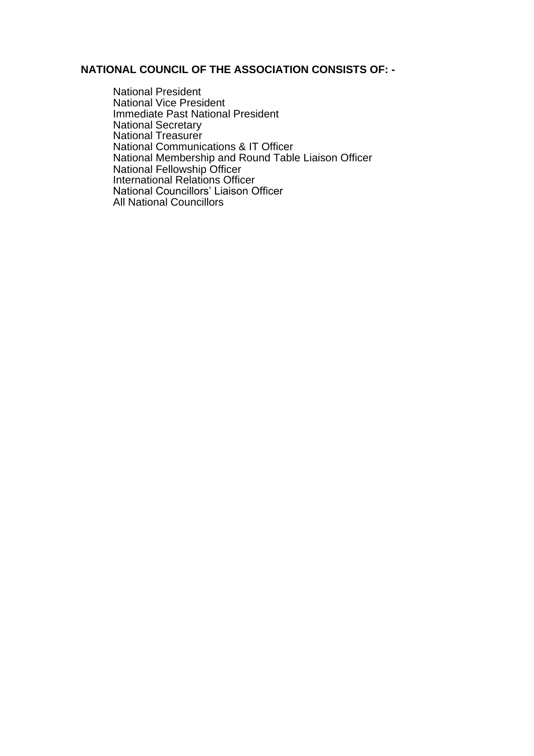### **NATIONAL COUNCIL OF THE ASSOCIATION CONSISTS OF: -**

National President National Vice President Immediate Past National President National Secretary National Treasurer National Communications & IT Officer National Membership and Round Table Liaison Officer National Fellowship Officer International Relations Officer National Councillors' Liaison Officer All National Councillors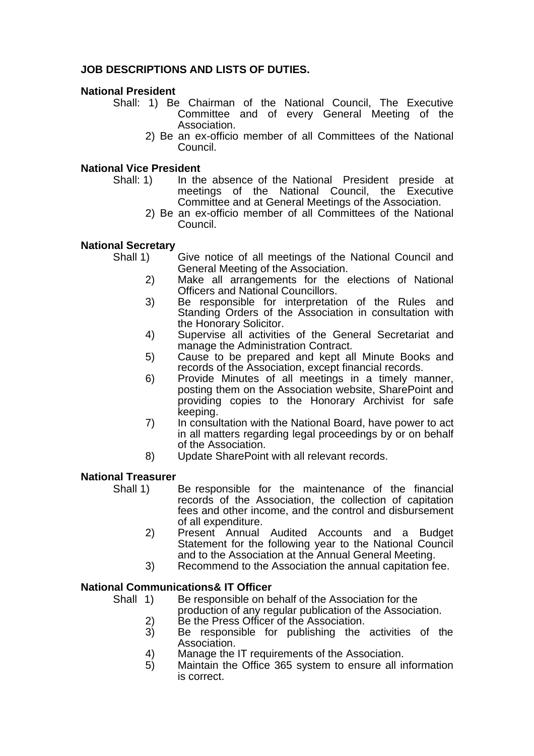# **JOB DESCRIPTIONS AND LISTS OF DUTIES.**

### **National President**

- Shall: 1) Be Chairman of the National Council, The Executive Committee and of every General Meeting of the Association.
	- 2) Be an ex-officio member of all Committees of the National Council.

### **National Vice President**

- Shall: 1) In the absence of the National President preside at meetings of the National Council, the Executive Committee and at General Meetings of the Association.
	- 2) Be an ex-officio member of all Committees of the National Council.

### **National Secretary**

- 
- Shall 1) Give notice of all meetings of the National Council and General Meeting of the Association.
	- 2) Make all arrangements for the elections of National Officers and National Councillors.
	- 3) Be responsible for interpretation of the Rules and Standing Orders of the Association in consultation with the Honorary Solicitor.
	- 4) Supervise all activities of the General Secretariat and manage the Administration Contract.
	- 5) Cause to be prepared and kept all Minute Books and records of the Association, except financial records.
	- 6) Provide Minutes of all meetings in a timely manner, posting them on the Association website, SharePoint and providing copies to the Honorary Archivist for safe keeping.
	- 7) In consultation with the National Board, have power to act in all matters regarding legal proceedings by or on behalf of the Association.
	- 8) Update SharePoint with all relevant records.

# **National Treasurer**

- Shall 1) Be responsible for the maintenance of the financial records of the Association, the collection of capitation fees and other income, and the control and disbursement of all expenditure.
	- 2) Present Annual Audited Accounts and a Budget Statement for the following year to the National Council and to the Association at the Annual General Meeting.
	- 3) Recommend to the Association the annual capitation fee.

# **National Communications& IT Officer**

Shall 1) Be responsible on behalf of the Association for the

- production of any regular publication of the Association.
- 2) Be the Press Officer of the Association.
- 3) Be responsible for publishing the activities of the Association.
- 4) Manage the IT requirements of the Association.
- 5) Maintain the Office 365 system to ensure all information is correct.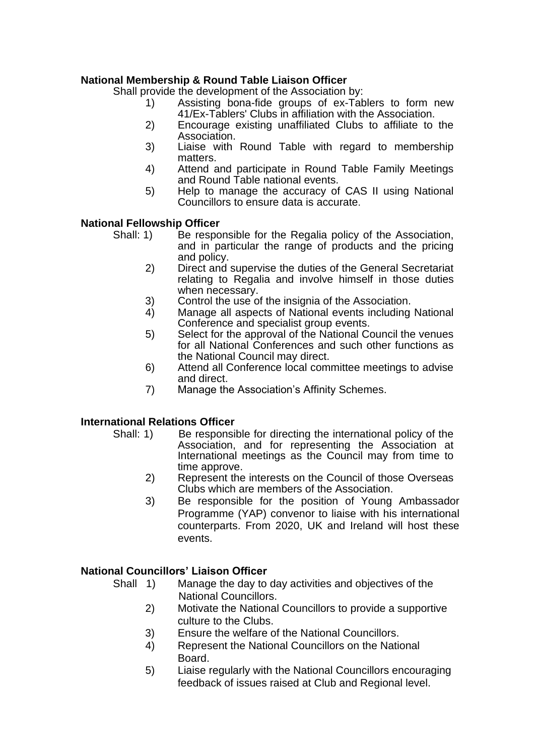# **National Membership & Round Table Liaison Officer**

Shall provide the development of the Association by:

- 1) Assisting bona-fide groups of ex-Tablers to form new 41/Ex-Tablers' Clubs in affiliation with the Association.
- 2) Encourage existing unaffiliated Clubs to affiliate to the Association.
- 3) Liaise with Round Table with regard to membership matters.
- 4) Attend and participate in Round Table Family Meetings and Round Table national events.
- 5) Help to manage the accuracy of CAS II using National Councillors to ensure data is accurate.

### **National Fellowship Officer**

- Shall: 1) Be responsible for the Regalia policy of the Association, and in particular the range of products and the pricing and policy.
	- 2) Direct and supervise the duties of the General Secretariat relating to Regalia and involve himself in those duties when necessary.
	- 3) Control the use of the insignia of the Association.<br>4) Manage all aspects of National events including
	- 4) Manage all aspects of National events including National Conference and specialist group events.
	- 5) Select for the approval of the National Council the venues for all National Conferences and such other functions as the National Council may direct.
	- 6) Attend all Conference local committee meetings to advise and direct.
	- 7) Manage the Association's Affinity Schemes.

# **International Relations Officer**

- Shall: 1) Be responsible for directing the international policy of the Association, and for representing the Association at International meetings as the Council may from time to time approve.
	- 2) Represent the interests on the Council of those Overseas Clubs which are members of the Association.
	- 3) Be responsible for the position of Young Ambassador Programme (YAP) convenor to liaise with his international counterparts. From 2020, UK and Ireland will host these events.

# **National Councillors' Liaison Officer**

- Shall 1) Manage the day to day activities and objectives of the National Councillors.
	- 2) Motivate the National Councillors to provide a supportive culture to the Clubs.
	- 3) Ensure the welfare of the National Councillors.
	- 4) Represent the National Councillors on the National Board.
	- 5) Liaise regularly with the National Councillors encouraging feedback of issues raised at Club and Regional level.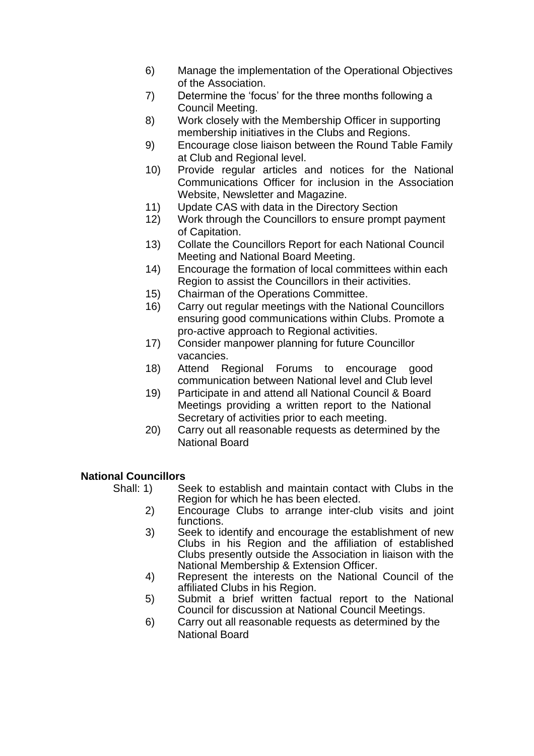- 6) Manage the implementation of the Operational Objectives of the Association.
- 7) Determine the 'focus' for the three months following a Council Meeting.
- 8) Work closely with the Membership Officer in supporting membership initiatives in the Clubs and Regions.
- 9) Encourage close liaison between the Round Table Family at Club and Regional level.
- 10) Provide regular articles and notices for the National Communications Officer for inclusion in the Association Website, Newsletter and Magazine.
- 11) Update CAS with data in the Directory Section
- 12) Work through the Councillors to ensure prompt payment of Capitation.
- 13) Collate the Councillors Report for each National Council Meeting and National Board Meeting.
- 14) Encourage the formation of local committees within each Region to assist the Councillors in their activities.
- 15) Chairman of the Operations Committee.
- 16) Carry out regular meetings with the National Councillors ensuring good communications within Clubs. Promote a pro-active approach to Regional activities.
- 17) Consider manpower planning for future Councillor vacancies.
- 18) Attend Regional Forums to encourage good communication between National level and Club level
- 19) Participate in and attend all National Council & Board Meetings providing a written report to the National Secretary of activities prior to each meeting.
- 20) Carry out all reasonable requests as determined by the National Board

# **National Councillors**

- Shall: 1) Seek to establish and maintain contact with Clubs in the Region for which he has been elected.
	- 2) Encourage Clubs to arrange inter-club visits and joint functions.
	- 3) Seek to identify and encourage the establishment of new Clubs in his Region and the affiliation of established Clubs presently outside the Association in liaison with the National Membership & Extension Officer.
	- 4) Represent the interests on the National Council of the affiliated Clubs in his Region.
	- 5) Submit a brief written factual report to the National Council for discussion at National Council Meetings.
	- 6) Carry out all reasonable requests as determined by the National Board